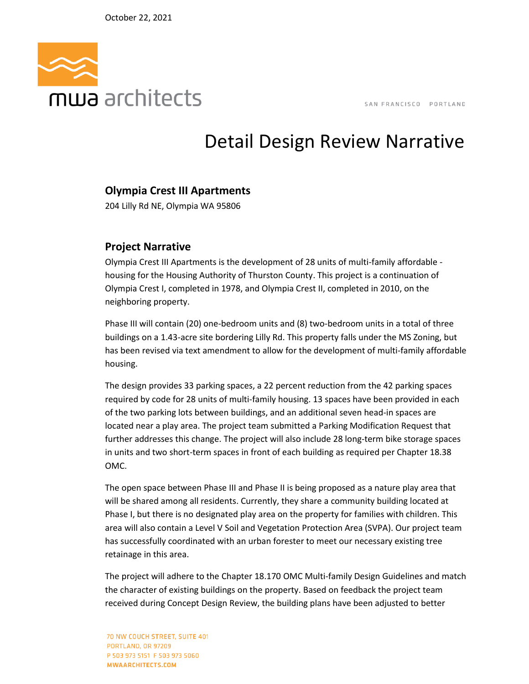

## Detail Design Review Narrative

## **Olympia Crest III Apartments**

204 Lilly Rd NE, Olympia WA 95806

## **Project Narrative**

Olympia Crest III Apartments is the development of 28 units of multi-family affordable housing for the Housing Authority of Thurston County. This project is a continuation of Olympia Crest I, completed in 1978, and Olympia Crest II, completed in 2010, on the neighboring property.

Phase III will contain (20) one-bedroom units and (8) two-bedroom units in a total of three buildings on a 1.43-acre site bordering Lilly Rd. This property falls under the MS Zoning, but has been revised via text amendment to allow for the development of multi-family affordable housing.

The design provides 33 parking spaces, a 22 percent reduction from the 42 parking spaces required by code for 28 units of multi-family housing. 13 spaces have been provided in each of the two parking lots between buildings, and an additional seven head-in spaces are located near a play area. The project team submitted a Parking Modification Request that further addresses this change. The project will also include 28 long-term bike storage spaces in units and two short-term spaces in front of each building as required per Chapter 18.38 OMC.

The open space between Phase III and Phase II is being proposed as a nature play area that will be shared among all residents. Currently, they share a community building located at Phase I, but there is no designated play area on the property for families with children. This area will also contain a Level V Soil and Vegetation Protection Area (SVPA). Our project team has successfully coordinated with an urban forester to meet our necessary existing tree retainage in this area.

The project will adhere to the Chapter 18.170 OMC Multi-family Design Guidelines and match the character of existing buildings on the property. Based on feedback the project team received during Concept Design Review, the building plans have been adjusted to better

70 NW COUCH STREET, SUITE 401 PORTLAND, OR 97209 P 503 973 5151 F 503 973 5060 MWAARCHITECTS.COM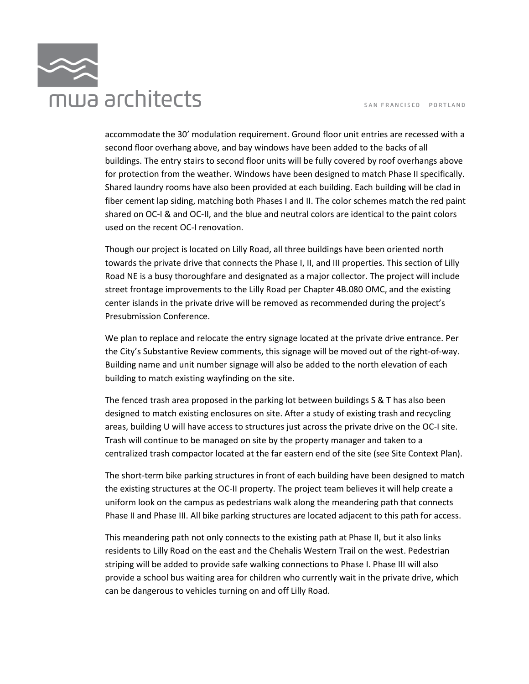

accommodate the 30' modulation requirement. Ground floor unit entries are recessed with a second floor overhang above, and bay windows have been added to the backs of all buildings. The entry stairs to second floor units will be fully covered by roof overhangs above for protection from the weather. Windows have been designed to match Phase II specifically. Shared laundry rooms have also been provided at each building. Each building will be clad in fiber cement lap siding, matching both Phases I and II. The color schemes match the red paint shared on OC-I & and OC-II, and the blue and neutral colors are identical to the paint colors used on the recent OC-I renovation.

Though our project is located on Lilly Road, all three buildings have been oriented north towards the private drive that connects the Phase I, II, and III properties. This section of Lilly Road NE is a busy thoroughfare and designated as a major collector. The project will include street frontage improvements to the Lilly Road per Chapter 4B.080 OMC, and the existing center islands in the private drive will be removed as recommended during the project's Presubmission Conference.

We plan to replace and relocate the entry signage located at the private drive entrance. Per the City's Substantive Review comments, this signage will be moved out of the right-of-way. Building name and unit number signage will also be added to the north elevation of each building to match existing wayfinding on the site.

The fenced trash area proposed in the parking lot between buildings S & T has also been designed to match existing enclosures on site. After a study of existing trash and recycling areas, building U will have access to structures just across the private drive on the OC-I site. Trash will continue to be managed on site by the property manager and taken to a centralized trash compactor located at the far eastern end of the site (see Site Context Plan).

The short-term bike parking structures in front of each building have been designed to match the existing structures at the OC-II property. The project team believes it will help create a uniform look on the campus as pedestrians walk along the meandering path that connects Phase II and Phase III. All bike parking structures are located adjacent to this path for access.

This meandering path not only connects to the existing path at Phase II, but it also links residents to Lilly Road on the east and the Chehalis Western Trail on the west. Pedestrian striping will be added to provide safe walking connections to Phase I. Phase III will also provide a school bus waiting area for children who currently wait in the private drive, which can be dangerous to vehicles turning on and off Lilly Road.